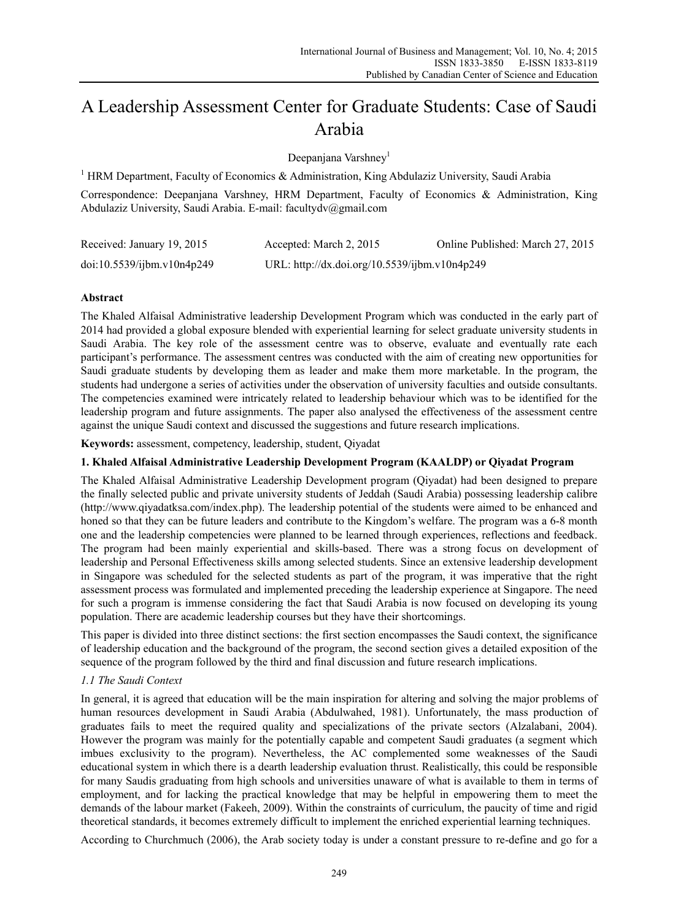# A Leadership Assessment Center for Graduate Students: Case of Saudi Arabia

Deepanjana Varshney<sup>1</sup>

<sup>1</sup> HRM Department, Faculty of Economics & Administration, King Abdulaziz University, Saudi Arabia

Correspondence: Deepanjana Varshney, HRM Department, Faculty of Economics & Administration, King Abdulaziz University, Saudi Arabia. E-mail: facultydv@gmail.com

| Received: January 19, 2015 | Accepted: March 2, 2015                       | Online Published: March 27, 2015 |
|----------------------------|-----------------------------------------------|----------------------------------|
| doi:10.5539/ijbm.v10n4p249 | URL: http://dx.doi.org/10.5539/ijbm.v10n4p249 |                                  |

## **Abstract**

The Khaled Alfaisal Administrative leadership Development Program which was conducted in the early part of 2014 had provided a global exposure blended with experiential learning for select graduate university students in Saudi Arabia. The key role of the assessment centre was to observe, evaluate and eventually rate each participant's performance. The assessment centres was conducted with the aim of creating new opportunities for Saudi graduate students by developing them as leader and make them more marketable. In the program, the students had undergone a series of activities under the observation of university faculties and outside consultants. The competencies examined were intricately related to leadership behaviour which was to be identified for the leadership program and future assignments. The paper also analysed the effectiveness of the assessment centre against the unique Saudi context and discussed the suggestions and future research implications.

**Keywords:** assessment, competency, leadership, student, Qiyadat

## **1. Khaled Alfaisal Administrative Leadership Development Program (KAALDP) or Qiyadat Program**

The Khaled Alfaisal Administrative Leadership Development program (Qiyadat) had been designed to prepare the finally selected public and private university students of Jeddah (Saudi Arabia) possessing leadership calibre (http://www.qiyadatksa.com/index.php). The leadership potential of the students were aimed to be enhanced and honed so that they can be future leaders and contribute to the Kingdom's welfare. The program was a 6-8 month one and the leadership competencies were planned to be learned through experiences, reflections and feedback. The program had been mainly experiential and skills-based. There was a strong focus on development of leadership and Personal Effectiveness skills among selected students. Since an extensive leadership development in Singapore was scheduled for the selected students as part of the program, it was imperative that the right assessment process was formulated and implemented preceding the leadership experience at Singapore. The need for such a program is immense considering the fact that Saudi Arabia is now focused on developing its young population. There are academic leadership courses but they have their shortcomings.

This paper is divided into three distinct sections: the first section encompasses the Saudi context, the significance of leadership education and the background of the program, the second section gives a detailed exposition of the sequence of the program followed by the third and final discussion and future research implications.

## *1.1 The Saudi Context*

In general, it is agreed that education will be the main inspiration for altering and solving the major problems of human resources development in Saudi Arabia (Abdulwahed, 1981). Unfortunately, the mass production of graduates fails to meet the required quality and specializations of the private sectors (Alzalabani, 2004). However the program was mainly for the potentially capable and competent Saudi graduates (a segment which imbues exclusivity to the program). Nevertheless, the AC complemented some weaknesses of the Saudi educational system in which there is a dearth leadership evaluation thrust. Realistically, this could be responsible for many Saudis graduating from high schools and universities unaware of what is available to them in terms of employment, and for lacking the practical knowledge that may be helpful in empowering them to meet the demands of the labour market (Fakeeh, 2009). Within the constraints of curriculum, the paucity of time and rigid theoretical standards, it becomes extremely difficult to implement the enriched experiential learning techniques.

According to Churchmuch (2006), the Arab society today is under a constant pressure to re-define and go for a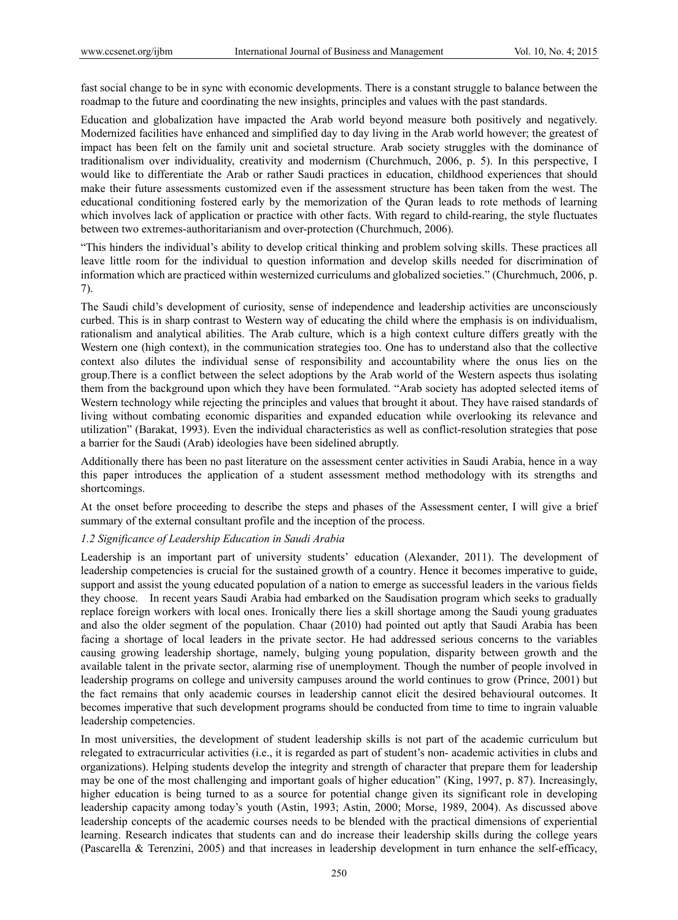fast social change to be in sync with economic developments. There is a constant struggle to balance between the roadmap to the future and coordinating the new insights, principles and values with the past standards.

Education and globalization have impacted the Arab world beyond measure both positively and negatively. Modernized facilities have enhanced and simplified day to day living in the Arab world however; the greatest of impact has been felt on the family unit and societal structure. Arab society struggles with the dominance of traditionalism over individuality, creativity and modernism (Churchmuch, 2006, p. 5). In this perspective, I would like to differentiate the Arab or rather Saudi practices in education, childhood experiences that should make their future assessments customized even if the assessment structure has been taken from the west. The educational conditioning fostered early by the memorization of the Quran leads to rote methods of learning which involves lack of application or practice with other facts. With regard to child-rearing, the style fluctuates between two extremes-authoritarianism and over-protection (Churchmuch, 2006).

"This hinders the individual's ability to develop critical thinking and problem solving skills. These practices all leave little room for the individual to question information and develop skills needed for discrimination of information which are practiced within westernized curriculums and globalized societies." (Churchmuch, 2006, p. 7).

The Saudi child's development of curiosity, sense of independence and leadership activities are unconsciously curbed. This is in sharp contrast to Western way of educating the child where the emphasis is on individualism, rationalism and analytical abilities. The Arab culture, which is a high context culture differs greatly with the Western one (high context), in the communication strategies too. One has to understand also that the collective context also dilutes the individual sense of responsibility and accountability where the onus lies on the group.There is a conflict between the select adoptions by the Arab world of the Western aspects thus isolating them from the background upon which they have been formulated. "Arab society has adopted selected items of Western technology while rejecting the principles and values that brought it about. They have raised standards of living without combating economic disparities and expanded education while overlooking its relevance and utilization" (Barakat, 1993). Even the individual characteristics as well as conflict-resolution strategies that pose a barrier for the Saudi (Arab) ideologies have been sidelined abruptly.

Additionally there has been no past literature on the assessment center activities in Saudi Arabia, hence in a way this paper introduces the application of a student assessment method methodology with its strengths and shortcomings.

At the onset before proceeding to describe the steps and phases of the Assessment center, I will give a brief summary of the external consultant profile and the inception of the process.

## *1.2 Significance of Leadership Education in Saudi Arabia*

Leadership is an important part of university students' education (Alexander, 2011). The development of leadership competencies is crucial for the sustained growth of a country. Hence it becomes imperative to guide, support and assist the young educated population of a nation to emerge as successful leaders in the various fields they choose. In recent years Saudi Arabia had embarked on the Saudisation program which seeks to gradually replace foreign workers with local ones. Ironically there lies a skill shortage among the Saudi young graduates and also the older segment of the population. Chaar (2010) had pointed out aptly that Saudi Arabia has been facing a shortage of local leaders in the private sector. He had addressed serious concerns to the variables causing growing leadership shortage, namely, bulging young population, disparity between growth and the available talent in the private sector, alarming rise of unemployment. Though the number of people involved in leadership programs on college and university campuses around the world continues to grow (Prince, 2001) but the fact remains that only academic courses in leadership cannot elicit the desired behavioural outcomes. It becomes imperative that such development programs should be conducted from time to time to ingrain valuable leadership competencies.

In most universities, the development of student leadership skills is not part of the academic curriculum but relegated to extracurricular activities (i.e., it is regarded as part of student's non- academic activities in clubs and organizations). Helping students develop the integrity and strength of character that prepare them for leadership may be one of the most challenging and important goals of higher education" (King, 1997, p. 87). Increasingly, higher education is being turned to as a source for potential change given its significant role in developing leadership capacity among today's youth (Astin, 1993; Astin, 2000; Morse, 1989, 2004). As discussed above leadership concepts of the academic courses needs to be blended with the practical dimensions of experiential learning. Research indicates that students can and do increase their leadership skills during the college years (Pascarella & Terenzini, 2005) and that increases in leadership development in turn enhance the self-efficacy,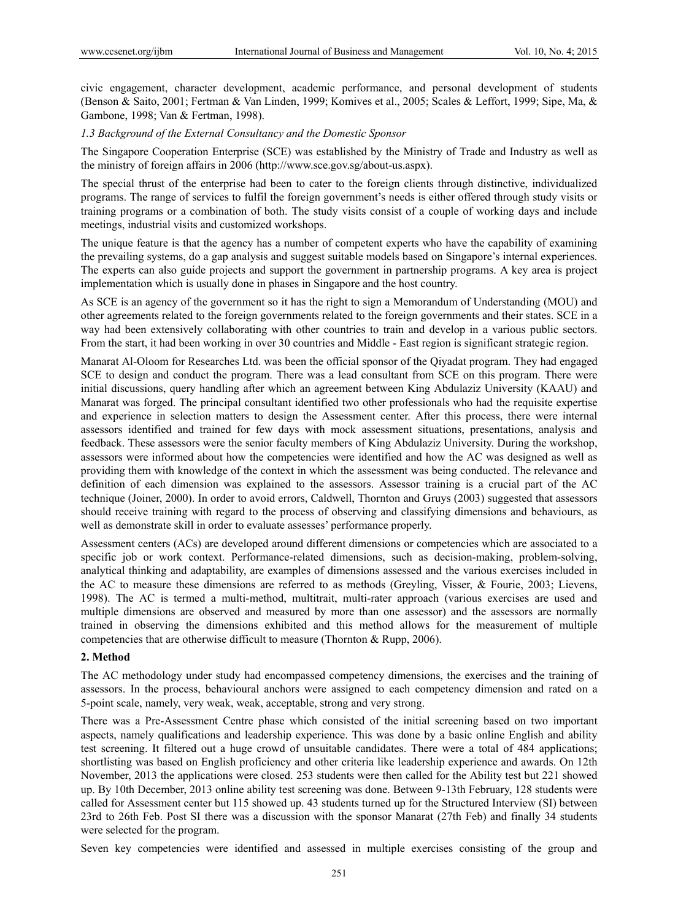civic engagement, character development, academic performance, and personal development of students (Benson & Saito, 2001; Fertman & Van Linden, 1999; Komives et al., 2005; Scales & Leffort, 1999; Sipe, Ma, & Gambone, 1998; Van & Fertman, 1998).

#### *1.3 Background of the External Consultancy and the Domestic Sponsor*

The Singapore Cooperation Enterprise (SCE) was established by the Ministry of Trade and Industry as well as the ministry of foreign affairs in 2006 (http://www.sce.gov.sg/about-us.aspx).

The special thrust of the enterprise had been to cater to the foreign clients through distinctive, individualized programs. The range of services to fulfil the foreign government's needs is either offered through study visits or training programs or a combination of both. The study visits consist of a couple of working days and include meetings, industrial visits and customized workshops.

The unique feature is that the agency has a number of competent experts who have the capability of examining the prevailing systems, do a gap analysis and suggest suitable models based on Singapore's internal experiences. The experts can also guide projects and support the government in partnership programs. A key area is project implementation which is usually done in phases in Singapore and the host country.

As SCE is an agency of the government so it has the right to sign a Memorandum of Understanding (MOU) and other agreements related to the foreign governments related to the foreign governments and their states. SCE in a way had been extensively collaborating with other countries to train and develop in a various public sectors. From the start, it had been working in over 30 countries and Middle - East region is significant strategic region.

Manarat Al-Oloom for Researches Ltd. was been the official sponsor of the Qiyadat program. They had engaged SCE to design and conduct the program. There was a lead consultant from SCE on this program. There were initial discussions, query handling after which an agreement between King Abdulaziz University (KAAU) and Manarat was forged. The principal consultant identified two other professionals who had the requisite expertise and experience in selection matters to design the Assessment center. After this process, there were internal assessors identified and trained for few days with mock assessment situations, presentations, analysis and feedback. These assessors were the senior faculty members of King Abdulaziz University. During the workshop, assessors were informed about how the competencies were identified and how the AC was designed as well as providing them with knowledge of the context in which the assessment was being conducted. The relevance and definition of each dimension was explained to the assessors. Assessor training is a crucial part of the AC technique (Joiner, 2000). In order to avoid errors, Caldwell, Thornton and Gruys (2003) suggested that assessors should receive training with regard to the process of observing and classifying dimensions and behaviours, as well as demonstrate skill in order to evaluate assesses' performance properly.

Assessment centers (ACs) are developed around different dimensions or competencies which are associated to a specific job or work context. Performance-related dimensions, such as decision-making, problem-solving, analytical thinking and adaptability, are examples of dimensions assessed and the various exercises included in the AC to measure these dimensions are referred to as methods (Greyling, Visser, & Fourie, 2003; Lievens, 1998). The AC is termed a multi-method, multitrait, multi-rater approach (various exercises are used and multiple dimensions are observed and measured by more than one assessor) and the assessors are normally trained in observing the dimensions exhibited and this method allows for the measurement of multiple competencies that are otherwise difficult to measure (Thornton & Rupp, 2006).

#### **2. Method**

The AC methodology under study had encompassed competency dimensions, the exercises and the training of assessors. In the process, behavioural anchors were assigned to each competency dimension and rated on a 5-point scale, namely, very weak, weak, acceptable, strong and very strong.

There was a Pre-Assessment Centre phase which consisted of the initial screening based on two important aspects, namely qualifications and leadership experience. This was done by a basic online English and ability test screening. It filtered out a huge crowd of unsuitable candidates. There were a total of 484 applications; shortlisting was based on English proficiency and other criteria like leadership experience and awards. On 12th November, 2013 the applications were closed. 253 students were then called for the Ability test but 221 showed up. By 10th December, 2013 online ability test screening was done. Between 9-13th February, 128 students were called for Assessment center but 115 showed up. 43 students turned up for the Structured Interview (SI) between 23rd to 26th Feb. Post SI there was a discussion with the sponsor Manarat (27th Feb) and finally 34 students were selected for the program.

Seven key competencies were identified and assessed in multiple exercises consisting of the group and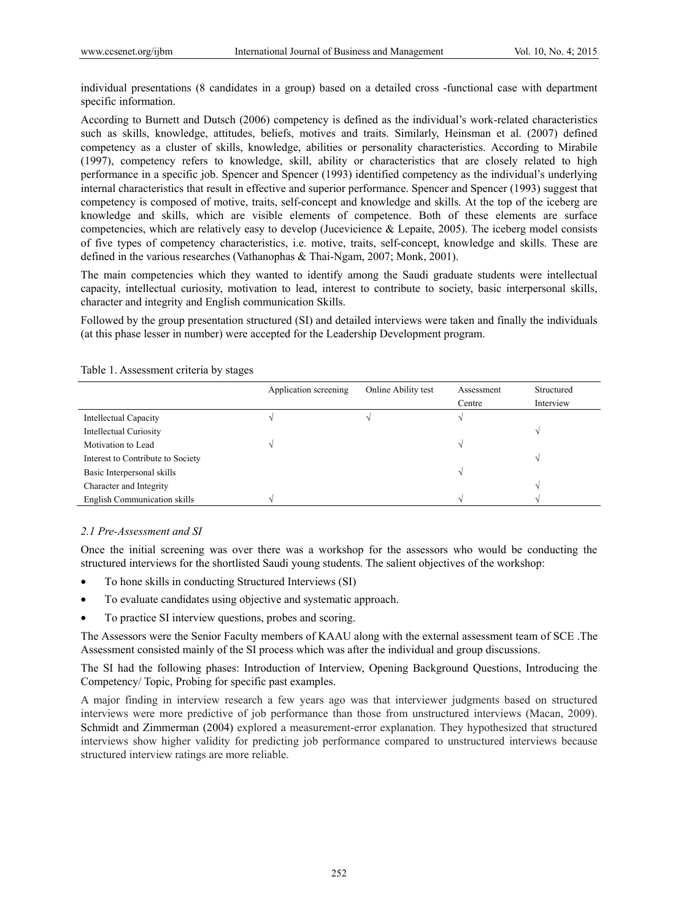individual presentations (8 candidates in a group) based on a detailed cross -functional case with department specific information.

According to Burnett and Dutsch (2006) competency is defined as the individual's work-related characteristics such as skills, knowledge, attitudes, beliefs, motives and traits. Similarly, Heinsman et al. (2007) defined competency as a cluster of skills, knowledge, abilities or personality characteristics. According to Mirabile (1997), competency refers to knowledge, skill, ability or characteristics that are closely related to high performance in a specific job. Spencer and Spencer (1993) identified competency as the individual's underlying internal characteristics that result in effective and superior performance. Spencer and Spencer (1993) suggest that competency is composed of motive, traits, self-concept and knowledge and skills. At the top of the iceberg are knowledge and skills, which are visible elements of competence. Both of these elements are surface competencies, which are relatively easy to develop (Jucevicience & Lepaite, 2005). The iceberg model consists of five types of competency characteristics, i.e. motive, traits, self-concept, knowledge and skills. These are defined in the various researches (Vathanophas & Thai-Ngam, 2007; Monk, 2001).

The main competencies which they wanted to identify among the Saudi graduate students were intellectual capacity, intellectual curiosity, motivation to lead, interest to contribute to society, basic interpersonal skills, character and integrity and English communication Skills.

Followed by the group presentation structured (SI) and detailed interviews were taken and finally the individuals (at this phase lesser in number) were accepted for the Leadership Development program.

|                                     | Application screening | Online Ability test | Assessment<br>Centre | Structured<br>Interview |
|-------------------------------------|-----------------------|---------------------|----------------------|-------------------------|
| Intellectual Capacity               |                       |                     |                      |                         |
| <b>Intellectual Curiosity</b>       |                       |                     |                      |                         |
| Motivation to Lead                  |                       |                     |                      |                         |
| Interest to Contribute to Society   |                       |                     |                      |                         |
| Basic Interpersonal skills          |                       |                     |                      |                         |
| Character and Integrity             |                       |                     |                      |                         |
| <b>English Communication skills</b> |                       |                     |                      |                         |

Table 1. Assessment criteria by stages

## *2.1 Pre-Assessment and SI*

Once the initial screening was over there was a workshop for the assessors who would be conducting the structured interviews for the shortlisted Saudi young students. The salient objectives of the workshop:

- To hone skills in conducting Structured Interviews (SI)
- To evaluate candidates using objective and systematic approach.
- To practice SI interview questions, probes and scoring.

The Assessors were the Senior Faculty members of KAAU along with the external assessment team of SCE .The Assessment consisted mainly of the SI process which was after the individual and group discussions.

The SI had the following phases: Introduction of Interview, Opening Background Questions, Introducing the Competency/ Topic, Probing for specific past examples.

A major finding in interview research a few years ago was that interviewer judgments based on structured interviews were more predictive of job performance than those from unstructured interviews (Macan, 2009). Schmidt and Zimmerman (2004) explored a measurement-error explanation. They hypothesized that structured interviews show higher validity for predicting job performance compared to unstructured interviews because structured interview ratings are more reliable.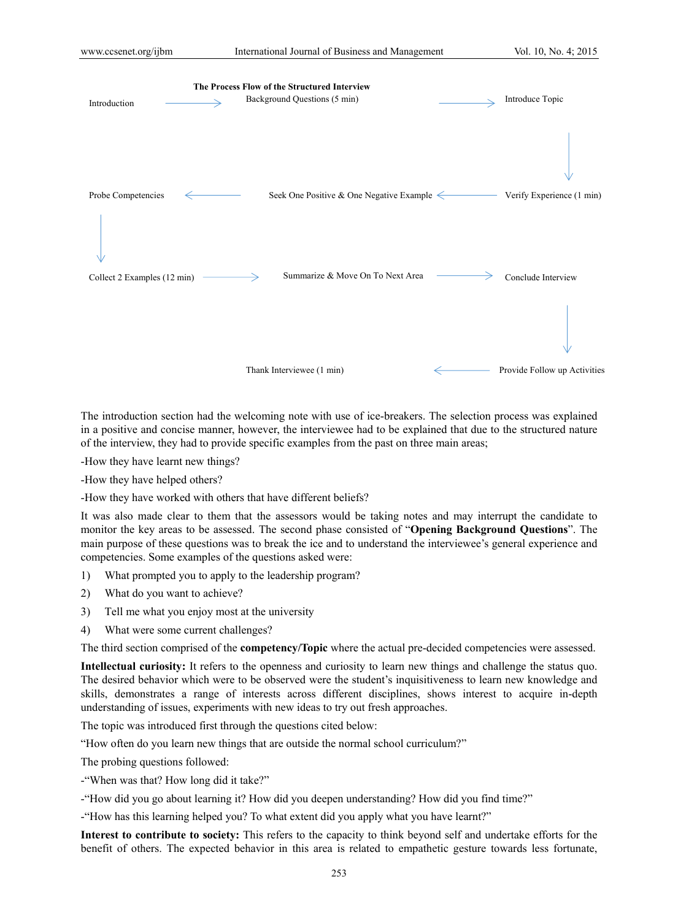

The introduction section had the welcoming note with use of ice-breakers. The selection process was explained in a positive and concise manner, however, the interviewee had to be explained that due to the structured nature of the interview, they had to provide specific examples from the past on three main areas;

-How they have learnt new things?

-How they have helped others?

-How they have worked with others that have different beliefs?

It was also made clear to them that the assessors would be taking notes and may interrupt the candidate to monitor the key areas to be assessed. The second phase consisted of "**Opening Background Questions**". The main purpose of these questions was to break the ice and to understand the interviewee's general experience and competencies. Some examples of the questions asked were:

- 1) What prompted you to apply to the leadership program?
- 2) What do you want to achieve?
- 3) Tell me what you enjoy most at the university
- 4) What were some current challenges?

The third section comprised of the **competency/Topic** where the actual pre-decided competencies were assessed.

**Intellectual curiosity:** It refers to the openness and curiosity to learn new things and challenge the status quo. The desired behavior which were to be observed were the student's inquisitiveness to learn new knowledge and skills, demonstrates a range of interests across different disciplines, shows interest to acquire in-depth understanding of issues, experiments with new ideas to try out fresh approaches.

The topic was introduced first through the questions cited below:

"How often do you learn new things that are outside the normal school curriculum?"

The probing questions followed:

-"When was that? How long did it take?"

-"How did you go about learning it? How did you deepen understanding? How did you find time?"

-"How has this learning helped you? To what extent did you apply what you have learnt?"

**Interest to contribute to society:** This refers to the capacity to think beyond self and undertake efforts for the benefit of others. The expected behavior in this area is related to empathetic gesture towards less fortunate,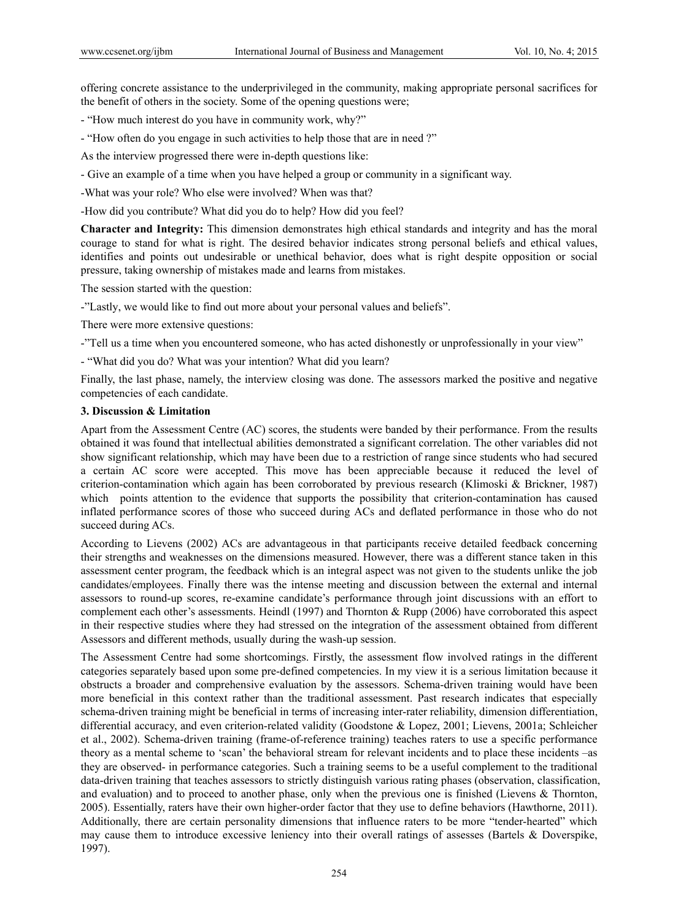offering concrete assistance to the underprivileged in the community, making appropriate personal sacrifices for the benefit of others in the society. Some of the opening questions were;

- "How much interest do you have in community work, why?"

- "How often do you engage in such activities to help those that are in need ?"

As the interview progressed there were in-depth questions like:

- Give an example of a time when you have helped a group or community in a significant way.

-What was your role? Who else were involved? When was that?

-How did you contribute? What did you do to help? How did you feel?

**Character and Integrity:** This dimension demonstrates high ethical standards and integrity and has the moral courage to stand for what is right. The desired behavior indicates strong personal beliefs and ethical values, identifies and points out undesirable or unethical behavior, does what is right despite opposition or social pressure, taking ownership of mistakes made and learns from mistakes.

The session started with the question:

-"Lastly, we would like to find out more about your personal values and beliefs".

There were more extensive questions:

-"Tell us a time when you encountered someone, who has acted dishonestly or unprofessionally in your view"

- "What did you do? What was your intention? What did you learn?

Finally, the last phase, namely, the interview closing was done. The assessors marked the positive and negative competencies of each candidate.

#### **3. Discussion & Limitation**

Apart from the Assessment Centre (AC) scores, the students were banded by their performance. From the results obtained it was found that intellectual abilities demonstrated a significant correlation. The other variables did not show significant relationship, which may have been due to a restriction of range since students who had secured a certain AC score were accepted. This move has been appreciable because it reduced the level of criterion-contamination which again has been corroborated by previous research (Klimoski & Brickner, 1987) which points attention to the evidence that supports the possibility that criterion-contamination has caused inflated performance scores of those who succeed during ACs and deflated performance in those who do not succeed during ACs.

According to Lievens (2002) ACs are advantageous in that participants receive detailed feedback concerning their strengths and weaknesses on the dimensions measured. However, there was a different stance taken in this assessment center program, the feedback which is an integral aspect was not given to the students unlike the job candidates/employees. Finally there was the intense meeting and discussion between the external and internal assessors to round-up scores, re-examine candidate's performance through joint discussions with an effort to complement each other's assessments. Heindl (1997) and Thornton & Rupp (2006) have corroborated this aspect in their respective studies where they had stressed on the integration of the assessment obtained from different Assessors and different methods, usually during the wash-up session.

The Assessment Centre had some shortcomings. Firstly, the assessment flow involved ratings in the different categories separately based upon some pre-defined competencies. In my view it is a serious limitation because it obstructs a broader and comprehensive evaluation by the assessors. Schema-driven training would have been more beneficial in this context rather than the traditional assessment. Past research indicates that especially schema-driven training might be beneficial in terms of increasing inter-rater reliability, dimension differentiation, differential accuracy, and even criterion-related validity (Goodstone & Lopez, 2001; Lievens, 2001a; Schleicher et al., 2002). Schema-driven training (frame-of-reference training) teaches raters to use a specific performance theory as a mental scheme to 'scan' the behavioral stream for relevant incidents and to place these incidents –as they are observed- in performance categories. Such a training seems to be a useful complement to the traditional data-driven training that teaches assessors to strictly distinguish various rating phases (observation, classification, and evaluation) and to proceed to another phase, only when the previous one is finished (Lievens & Thornton, 2005). Essentially, raters have their own higher-order factor that they use to define behaviors (Hawthorne, 2011). Additionally, there are certain personality dimensions that influence raters to be more "tender-hearted" which may cause them to introduce excessive leniency into their overall ratings of assesses (Bartels & Doverspike, 1997).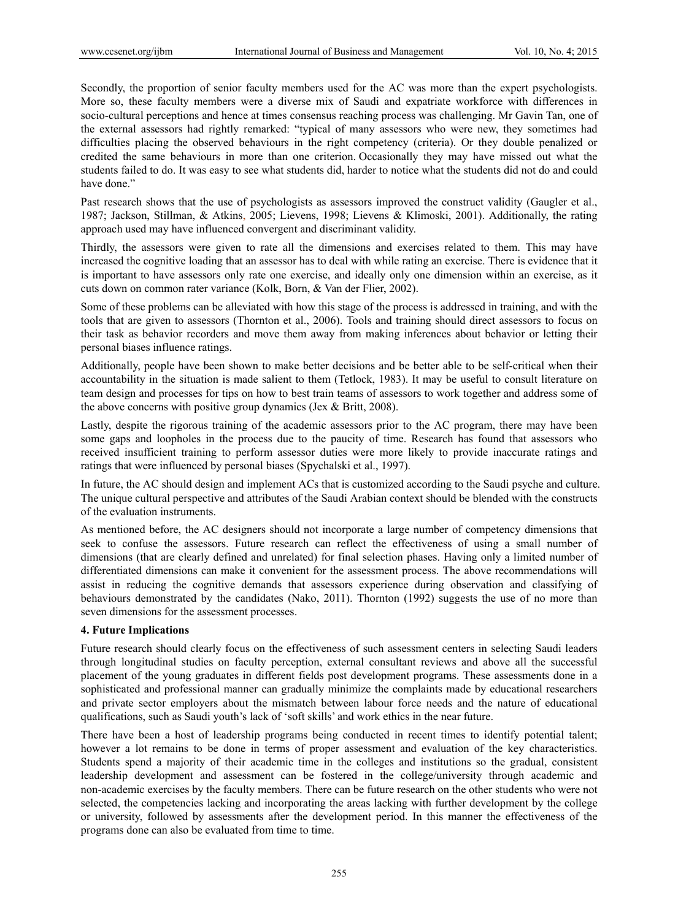Secondly, the proportion of senior faculty members used for the AC was more than the expert psychologists. More so, these faculty members were a diverse mix of Saudi and expatriate workforce with differences in socio-cultural perceptions and hence at times consensus reaching process was challenging. Mr Gavin Tan, one of the external assessors had rightly remarked: "typical of many assessors who were new, they sometimes had difficulties placing the observed behaviours in the right competency (criteria). Or they double penalized or credited the same behaviours in more than one criterion. Occasionally they may have missed out what the students failed to do. It was easy to see what students did, harder to notice what the students did not do and could have done."

Past research shows that the use of psychologists as assessors improved the construct validity (Gaugler et al., 1987; Jackson, Stillman, & Atkins, 2005; Lievens, 1998; Lievens & Klimoski, 2001). Additionally, the rating approach used may have influenced convergent and discriminant validity.

Thirdly, the assessors were given to rate all the dimensions and exercises related to them. This may have increased the cognitive loading that an assessor has to deal with while rating an exercise. There is evidence that it is important to have assessors only rate one exercise, and ideally only one dimension within an exercise, as it cuts down on common rater variance (Kolk, Born, & Van der Flier, 2002).

Some of these problems can be alleviated with how this stage of the process is addressed in training, and with the tools that are given to assessors (Thornton et al., 2006). Tools and training should direct assessors to focus on their task as behavior recorders and move them away from making inferences about behavior or letting their personal biases influence ratings.

Additionally, people have been shown to make better decisions and be better able to be self-critical when their accountability in the situation is made salient to them (Tetlock, 1983). It may be useful to consult literature on team design and processes for tips on how to best train teams of assessors to work together and address some of the above concerns with positive group dynamics (Jex & Britt, 2008).

Lastly, despite the rigorous training of the academic assessors prior to the AC program, there may have been some gaps and loopholes in the process due to the paucity of time. Research has found that assessors who received insufficient training to perform assessor duties were more likely to provide inaccurate ratings and ratings that were influenced by personal biases (Spychalski et al., 1997).

In future, the AC should design and implement ACs that is customized according to the Saudi psyche and culture. The unique cultural perspective and attributes of the Saudi Arabian context should be blended with the constructs of the evaluation instruments.

As mentioned before, the AC designers should not incorporate a large number of competency dimensions that seek to confuse the assessors. Future research can reflect the effectiveness of using a small number of dimensions (that are clearly defined and unrelated) for final selection phases. Having only a limited number of differentiated dimensions can make it convenient for the assessment process. The above recommendations will assist in reducing the cognitive demands that assessors experience during observation and classifying of behaviours demonstrated by the candidates (Nako, 2011). Thornton (1992) suggests the use of no more than seven dimensions for the assessment processes.

## **4. Future Implications**

Future research should clearly focus on the effectiveness of such assessment centers in selecting Saudi leaders through longitudinal studies on faculty perception, external consultant reviews and above all the successful placement of the young graduates in different fields post development programs. These assessments done in a sophisticated and professional manner can gradually minimize the complaints made by educational researchers and private sector employers about the mismatch between labour force needs and the nature of educational qualifications, such as Saudi youth's lack of 'soft skills' and work ethics in the near future.

There have been a host of leadership programs being conducted in recent times to identify potential talent; however a lot remains to be done in terms of proper assessment and evaluation of the key characteristics. Students spend a majority of their academic time in the colleges and institutions so the gradual, consistent leadership development and assessment can be fostered in the college/university through academic and non-academic exercises by the faculty members. There can be future research on the other students who were not selected, the competencies lacking and incorporating the areas lacking with further development by the college or university, followed by assessments after the development period. In this manner the effectiveness of the programs done can also be evaluated from time to time.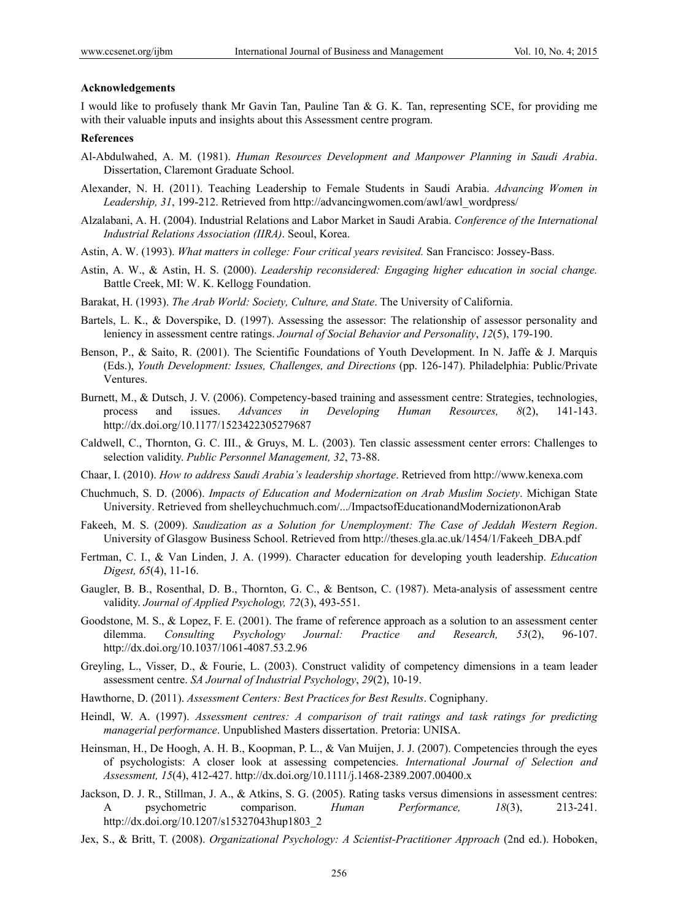#### **Acknowledgements**

I would like to profusely thank Mr Gavin Tan, Pauline Tan & G. K. Tan, representing SCE, for providing me with their valuable inputs and insights about this Assessment centre program.

#### **References**

- Al-Abdulwahed, A. M. (1981). *Human Resources Development and Manpower Planning in Saudi Arabia*. Dissertation, Claremont Graduate School.
- Alexander, N. H. (2011). Teaching Leadership to Female Students in Saudi Arabia. *Advancing Women in Leadership, 31*, 199-212. Retrieved from http://advancingwomen.com/awl/awl\_wordpress/
- Alzalabani, A. H. (2004). Industrial Relations and Labor Market in Saudi Arabia. *Conference of the International Industrial Relations Association (IIRA)*. Seoul, Korea.
- Astin, A. W. (1993). *What matters in college: Four critical years revisited.* San Francisco: Jossey-Bass.
- Astin, A. W., & Astin, H. S. (2000). *Leadership reconsidered: Engaging higher education in social change.*  Battle Creek, MI: W. K. Kellogg Foundation.
- Barakat, H. (1993). *The Arab World: Society, Culture, and State*. The University of California.
- Bartels, L. K., & Doverspike, D. (1997). Assessing the assessor: The relationship of assessor personality and leniency in assessment centre ratings. *Journal of Social Behavior and Personality*, *12*(5), 179-190.
- Benson, P., & Saito, R. (2001). The Scientific Foundations of Youth Development. In N. Jaffe & J. Marquis (Eds.), *Youth Development: Issues, Challenges, and Directions* (pp. 126-147). Philadelphia: Public/Private Ventures.
- Burnett, M., & Dutsch, J. V. (2006). Competency-based training and assessment centre: Strategies, technologies, process and issues. *Advances in Developing Human Resources, 8*(2), 141-143. http://dx.doi.org/10.1177/1523422305279687
- Caldwell, C., Thornton, G. C. III., & Gruys, M. L. (2003). Ten classic assessment center errors: Challenges to selection validity. *Public Personnel Management, 32*, 73-88.
- Chaar, I. (2010). *How to address Saudi Arabia's leadership shortage*. Retrieved from http://www.kenexa.com
- Chuchmuch, S. D. (2006). *Impacts of Education and Modernization on Arab Muslim Society*. Michigan State University. Retrieved from shelleychuchmuch.com/.../ImpactsofEducationandModernizationonArab
- Fakeeh, M. S. (2009). *Saudization as a Solution for Unemployment: The Case of Jeddah Western Region*. University of Glasgow Business School. Retrieved from http://theses.gla.ac.uk/1454/1/Fakeeh\_DBA.pdf
- Fertman, C. I., & Van Linden, J. A. (1999). Character education for developing youth leadership. *Education Digest, 65*(4), 11-16.
- Gaugler, B. B., Rosenthal, D. B., Thornton, G. C., & Bentson, C. (1987). Meta-analysis of assessment centre validity. *Journal of Applied Psychology, 72*(3), 493-551.
- Goodstone, M. S., & Lopez, F. E. (2001). The frame of reference approach as a solution to an assessment center dilemma. *Consulting Psychology Journal: Practice and Research, 53*(2), 96-107. http://dx.doi.org/10.1037/1061-4087.53.2.96
- Greyling, L., Visser, D., & Fourie, L. (2003). Construct validity of competency dimensions in a team leader assessment centre. *SA Journal of Industrial Psychology*, *29*(2), 10-19.
- Hawthorne, D. (2011). *Assessment Centers: Best Practices for Best Results*. Cogniphany.
- Heindl, W. A. (1997). *Assessment centres: A comparison of trait ratings and task ratings for predicting managerial performance*. Unpublished Masters dissertation. Pretoria: UNISA.
- Heinsman, H., De Hoogh, A. H. B., Koopman, P. L., & Van Muijen, J. J. (2007). Competencies through the eyes of psychologists: A closer look at assessing competencies. *International Journal of Selection and Assessment, 15*(4), 412-427. http://dx.doi.org/10.1111/j.1468-2389.2007.00400.x
- Jackson, D. J. R., Stillman, J. A., & Atkins, S. G. (2005). Rating tasks versus dimensions in assessment centres: A psychometric comparison. *Human Performance, 18*(3), 213-241. http://dx.doi.org/10.1207/s15327043hup1803\_2
- Jex, S., & Britt, T. (2008). *Organizational Psychology: A Scientist-Practitioner Approach* (2nd ed.). Hoboken,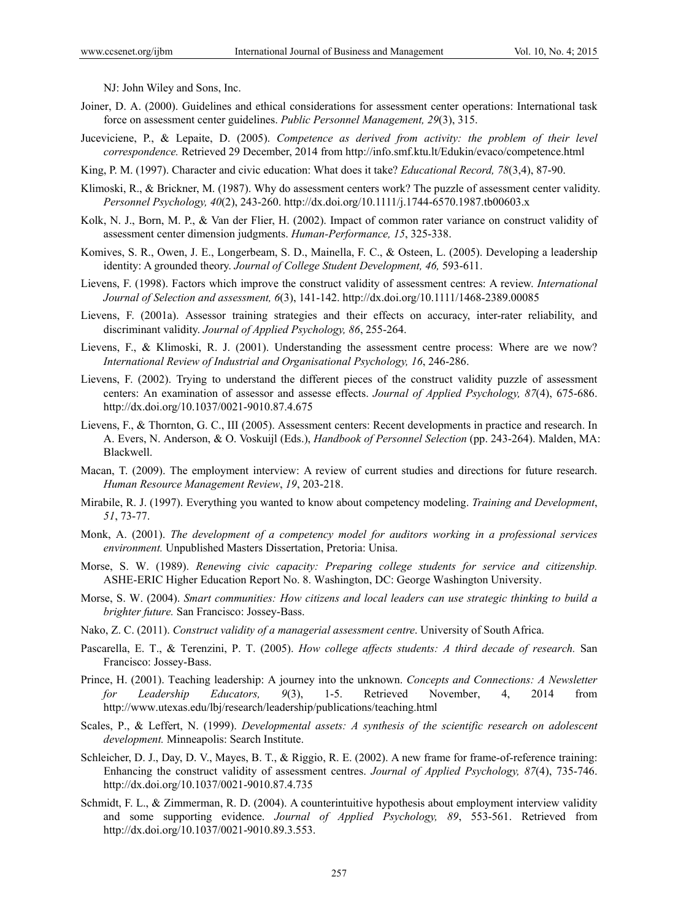NJ: John Wiley and Sons, Inc.

- Joiner, D. A. (2000). Guidelines and ethical considerations for assessment center operations: International task force on assessment center guidelines. *Public Personnel Management, 29*(3), 315.
- Juceviciene, P., & Lepaite, D. (2005). *Competence as derived from activity: the problem of their level correspondence.* Retrieved 29 December, 2014 from http://info.smf.ktu.lt/Edukin/evaco/competence.html
- King, P. M. (1997). Character and civic education: What does it take? *Educational Record, 78*(3,4), 87-90.
- Klimoski, R., & Brickner, M. (1987). Why do assessment centers work? The puzzle of assessment center validity. *Personnel Psychology, 40*(2), 243-260. http://dx.doi.org/10.1111/j.1744-6570.1987.tb00603.x
- Kolk, N. J., Born, M. P., & Van der Flier, H. (2002). Impact of common rater variance on construct validity of assessment center dimension judgments. *Human-Performance, 15*, 325-338.
- Komives, S. R., Owen, J. E., Longerbeam, S. D., Mainella, F. C., & Osteen, L. (2005). Developing a leadership identity: A grounded theory. *Journal of College Student Development*, 46, 593-611.
- Lievens, F. (1998). Factors which improve the construct validity of assessment centres: A review. *International Journal of Selection and assessment, 6*(3), 141-142. http://dx.doi.org/10.1111/1468-2389.00085
- Lievens, F. (2001a). Assessor training strategies and their effects on accuracy, inter-rater reliability, and discriminant validity. *Journal of Applied Psychology, 86*, 255-264.
- Lievens, F., & Klimoski, R. J. (2001). Understanding the assessment centre process: Where are we now? *International Review of Industrial and Organisational Psychology, 16*, 246-286.
- Lievens, F. (2002). Trying to understand the different pieces of the construct validity puzzle of assessment centers: An examination of assessor and assesse effects. *Journal of Applied Psychology, 87*(4), 675-686. http://dx.doi.org/10.1037/0021-9010.87.4.675
- Lievens, F., & Thornton, G. C., III (2005). Assessment centers: Recent developments in practice and research. In A. Evers, N. Anderson, & O. Voskuijl (Eds.), *Handbook of Personnel Selection* (pp. 243-264). Malden, MA: Blackwell.
- Macan, T. (2009). The employment interview: A review of current studies and directions for future research. *Human Resource Management Review*, *19*, 203-218.
- Mirabile, R. J. (1997). Everything you wanted to know about competency modeling. *Training and Development*, *51*, 73-77.
- Monk, A. (2001). *The development of a competency model for auditors working in a professional services environment.* Unpublished Masters Dissertation, Pretoria: Unisa.
- Morse, S. W. (1989). *Renewing civic capacity: Preparing college students for service and citizenship.*  ASHE-ERIC Higher Education Report No. 8. Washington, DC: George Washington University.
- Morse, S. W. (2004). *Smart communities: How citizens and local leaders can use strategic thinking to build a brighter future.* San Francisco: Jossey-Bass.
- Nako, Z. C. (2011). *Construct validity of a managerial assessment centre*. University of South Africa.
- Pascarella, E. T., & Terenzini, P. T. (2005). *How college affects students: A third decade of research.* San Francisco: Jossey-Bass.
- Prince, H. (2001). Teaching leadership: A journey into the unknown. *Concepts and Connections: A Newsletter for Leadership Educators, 9*(3), 1-5. Retrieved November, 4, 2014 from http://www.utexas.edu/lbj/research/leadership/publications/teaching.html
- Scales, P., & Leffert, N. (1999). *Developmental assets: A synthesis of the scientific research on adolescent development.* Minneapolis: Search Institute.
- Schleicher, D. J., Day, D. V., Mayes, B. T., & Riggio, R. E. (2002). A new frame for frame-of-reference training: Enhancing the construct validity of assessment centres. *Journal of Applied Psychology, 87*(4), 735-746. http://dx.doi.org/10.1037/0021-9010.87.4.735
- Schmidt, F. L., & Zimmerman, R. D. (2004). A counterintuitive hypothesis about employment interview validity and some supporting evidence. *Journal of Applied Psychology, 89*, 553-561. Retrieved from http://dx.doi.org/10.1037/0021-9010.89.3.553.